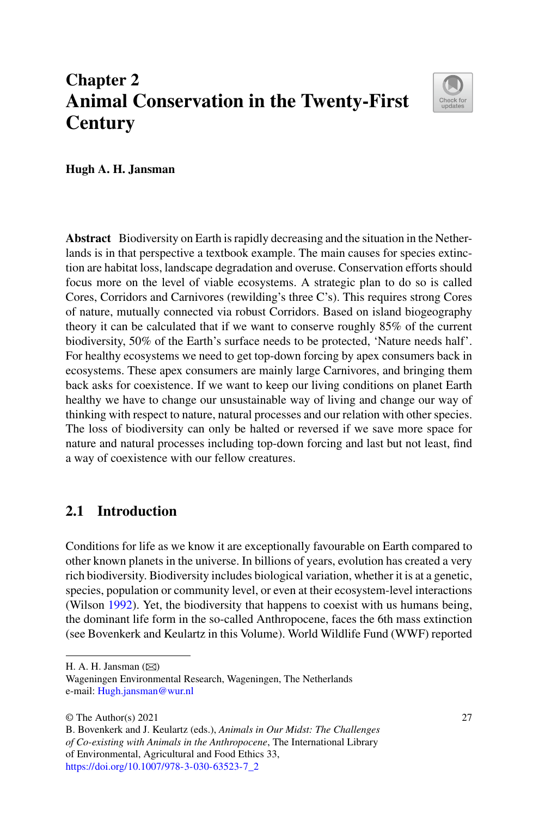# **Chapter 2 Animal Conservation in the Twenty-First Century**



**Hugh A. H. Jansman**

**Abstract** Biodiversity on Earth is rapidly decreasing and the situation in the Netherlands is in that perspective a textbook example. The main causes for species extinction are habitat loss, landscape degradation and overuse. Conservation efforts should focus more on the level of viable ecosystems. A strategic plan to do so is called Cores, Corridors and Carnivores (rewilding's three C's). This requires strong Cores of nature, mutually connected via robust Corridors. Based on island biogeography theory it can be calculated that if we want to conserve roughly 85% of the current biodiversity, 50% of the Earth's surface needs to be protected, 'Nature needs half'. For healthy ecosystems we need to get top-down forcing by apex consumers back in ecosystems. These apex consumers are mainly large Carnivores, and bringing them back asks for coexistence. If we want to keep our living conditions on planet Earth healthy we have to change our unsustainable way of living and change our way of thinking with respect to nature, natural processes and our relation with other species. The loss of biodiversity can only be halted or reversed if we save more space for nature and natural processes including top-down forcing and last but not least, find a way of coexistence with our fellow creatures.

# **2.1 Introduction**

Conditions for life as we know it are exceptionally favourable on Earth compared to other known planets in the universe. In billions of years, evolution has created a very rich biodiversity. Biodiversity includes biological variation, whether it is at a genetic, species, population or community level, or even at their ecosystem-level interactions (Wilson [1992\)](#page-17-0). Yet, the biodiversity that happens to coexist with us humans being, the dominant life form in the so-called Anthropocene, faces the 6th mass extinction (see Bovenkerk and Keulartz in this Volume). World Wildlife Fund (WWF) reported

H. A. H. Jansman  $(\boxtimes)$ 

Wageningen Environmental Research, Wageningen, The Netherlands e-mail: [Hugh.jansman@wur.nl](mailto:Hugh.jansman@wur.nl)

<sup>©</sup> The Author(s) 2021

B. Bovenkerk and J. Keulartz (eds.), *Animals in Our Midst: The Challenges of Co-existing with Animals in the Anthropocene*, The International Library of Environmental, Agricultural and Food Ethics 33, [https://doi.org/10.1007/978-3-030-63523-7\\_2](https://doi.org/10.1007/978-3-030-63523-7_2)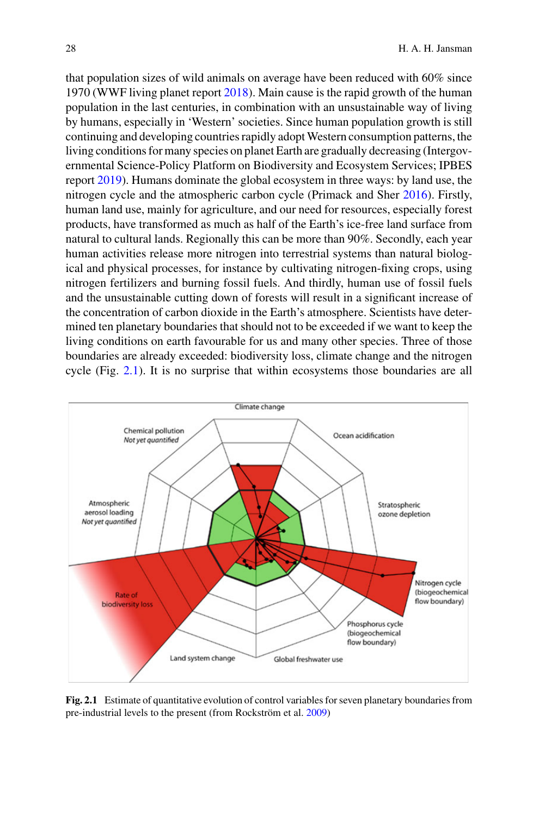that population sizes of wild animals on average have been reduced with 60% since 1970 (WWF living planet report [2018\)](#page-17-1). Main cause is the rapid growth of the human population in the last centuries, in combination with an unsustainable way of living by humans, especially in 'Western' societies. Since human population growth is still continuing and developing countries rapidly adoptWestern consumption patterns, the living conditions for many species on planet Earth are gradually decreasing (Intergovernmental Science-Policy Platform on Biodiversity and Ecosystem Services; IPBES report [2019\)](#page-16-0). Humans dominate the global ecosystem in three ways: by land use, the nitrogen cycle and the atmospheric carbon cycle (Primack and Sher [2016\)](#page-17-2). Firstly, human land use, mainly for agriculture, and our need for resources, especially forest products, have transformed as much as half of the Earth's ice-free land surface from natural to cultural lands. Regionally this can be more than 90%. Secondly, each year human activities release more nitrogen into terrestrial systems than natural biological and physical processes, for instance by cultivating nitrogen-fixing crops, using nitrogen fertilizers and burning fossil fuels. And thirdly, human use of fossil fuels and the unsustainable cutting down of forests will result in a significant increase of the concentration of carbon dioxide in the Earth's atmosphere. Scientists have determined ten planetary boundaries that should not to be exceeded if we want to keep the living conditions on earth favourable for us and many other species. Three of those boundaries are already exceeded: biodiversity loss, climate change and the nitrogen cycle (Fig. [2.1\)](#page-1-0). It is no surprise that within ecosystems those boundaries are all



<span id="page-1-0"></span>**Fig. 2.1** Estimate of quantitative evolution of control variables for seven planetary boundaries from pre-industrial levels to the present (from Rockström et al. [2009\)](#page-17-3)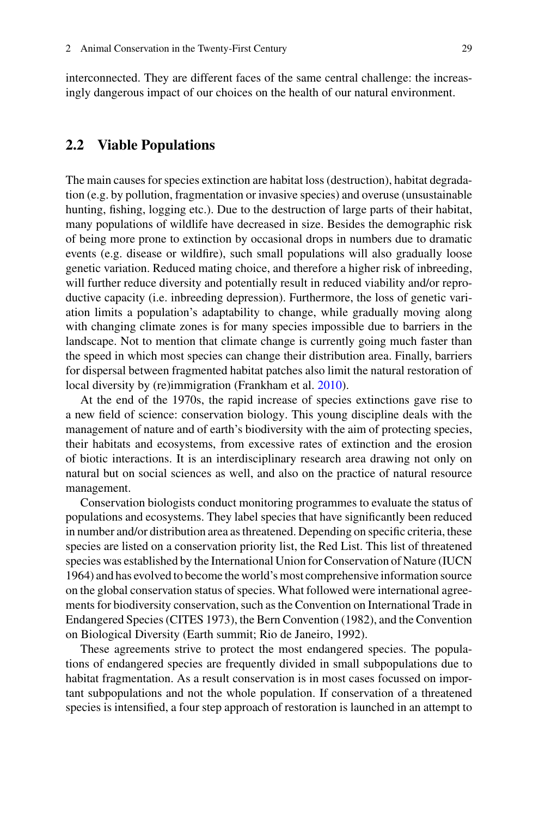interconnected. They are different faces of the same central challenge: the increasingly dangerous impact of our choices on the health of our natural environment.

### **2.2 Viable Populations**

The main causes for species extinction are habitat loss (destruction), habitat degradation (e.g. by pollution, fragmentation or invasive species) and overuse (unsustainable hunting, fishing, logging etc.). Due to the destruction of large parts of their habitat, many populations of wildlife have decreased in size. Besides the demographic risk of being more prone to extinction by occasional drops in numbers due to dramatic events (e.g. disease or wildfire), such small populations will also gradually loose genetic variation. Reduced mating choice, and therefore a higher risk of inbreeding, will further reduce diversity and potentially result in reduced viability and/or reproductive capacity (i.e. inbreeding depression). Furthermore, the loss of genetic variation limits a population's adaptability to change, while gradually moving along with changing climate zones is for many species impossible due to barriers in the landscape. Not to mention that climate change is currently going much faster than the speed in which most species can change their distribution area. Finally, barriers for dispersal between fragmented habitat patches also limit the natural restoration of local diversity by (re)immigration (Frankham et al. [2010\)](#page-16-1).

At the end of the 1970s, the rapid increase of species extinctions gave rise to a new field of science: conservation biology. This young discipline deals with the management of nature and of earth's biodiversity with the aim of protecting species, their habitats and ecosystems, from excessive rates of extinction and the erosion of biotic interactions. It is an interdisciplinary research area drawing not only on natural but on social sciences as well, and also on the practice of natural resource management.

Conservation biologists conduct monitoring programmes to evaluate the status of populations and ecosystems. They label species that have significantly been reduced in number and/or distribution area as threatened. Depending on specific criteria, these species are listed on a conservation priority list, the Red List. This list of threatened species was established by the International Union for Conservation of Nature (IUCN 1964) and has evolved to become the world's most comprehensive information source on the global conservation status of species. What followed were international agreements for biodiversity conservation, such as the Convention on International Trade in Endangered Species (CITES 1973), the Bern Convention (1982), and the Convention on Biological Diversity (Earth summit; Rio de Janeiro, 1992).

These agreements strive to protect the most endangered species. The populations of endangered species are frequently divided in small subpopulations due to habitat fragmentation. As a result conservation is in most cases focussed on important subpopulations and not the whole population. If conservation of a threatened species is intensified, a four step approach of restoration is launched in an attempt to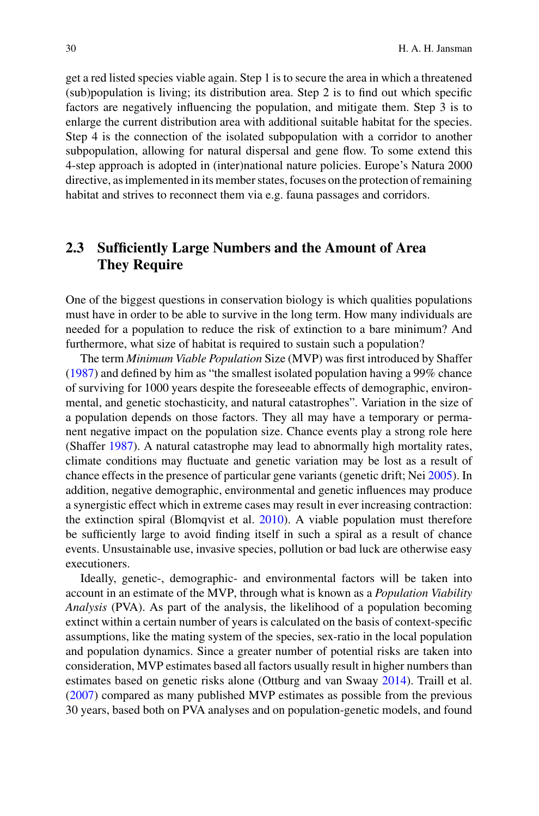get a red listed species viable again. Step 1 is to secure the area in which a threatened (sub)population is living; its distribution area. Step 2 is to find out which specific factors are negatively influencing the population, and mitigate them. Step 3 is to enlarge the current distribution area with additional suitable habitat for the species. Step 4 is the connection of the isolated subpopulation with a corridor to another subpopulation, allowing for natural dispersal and gene flow. To some extend this 4-step approach is adopted in (inter)national nature policies. Europe's Natura 2000 directive, as implemented in its member states, focuses on the protection of remaining habitat and strives to reconnect them via e.g. fauna passages and corridors.

# **2.3 Sufficiently Large Numbers and the Amount of Area They Require**

One of the biggest questions in conservation biology is which qualities populations must have in order to be able to survive in the long term. How many individuals are needed for a population to reduce the risk of extinction to a bare minimum? And furthermore, what size of habitat is required to sustain such a population?

The term *Minimum Viable Population* Size (MVP) was first introduced by Shaffer [\(1987\)](#page-17-4) and defined by him as "the smallest isolated population having a 99% chance of surviving for 1000 years despite the foreseeable effects of demographic, environmental, and genetic stochasticity, and natural catastrophes". Variation in the size of a population depends on those factors. They all may have a temporary or permanent negative impact on the population size. Chance events play a strong role here (Shaffer [1987\)](#page-17-4). A natural catastrophe may lead to abnormally high mortality rates, climate conditions may fluctuate and genetic variation may be lost as a result of chance effects in the presence of particular gene variants (genetic drift; Nei [2005\)](#page-17-5). In addition, negative demographic, environmental and genetic influences may produce a synergistic effect which in extreme cases may result in ever increasing contraction: the extinction spiral (Blomqvist et al. [2010\)](#page-16-2). A viable population must therefore be sufficiently large to avoid finding itself in such a spiral as a result of chance events. Unsustainable use, invasive species, pollution or bad luck are otherwise easy executioners.

Ideally, genetic-, demographic- and environmental factors will be taken into account in an estimate of the MVP, through what is known as a *Population Viability Analysis* (PVA). As part of the analysis, the likelihood of a population becoming extinct within a certain number of years is calculated on the basis of context-specific assumptions, like the mating system of the species, sex-ratio in the local population and population dynamics. Since a greater number of potential risks are taken into consideration, MVP estimates based all factors usually result in higher numbers than estimates based on genetic risks alone (Ottburg and van Swaay [2014\)](#page-17-6). Traill et al. [\(2007\)](#page-17-7) compared as many published MVP estimates as possible from the previous 30 years, based both on PVA analyses and on population-genetic models, and found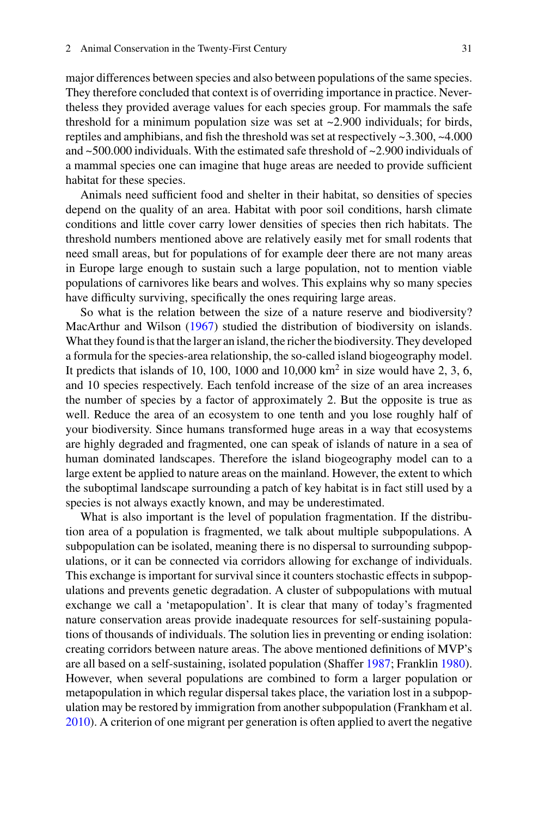major differences between species and also between populations of the same species. They therefore concluded that context is of overriding importance in practice. Nevertheless they provided average values for each species group. For mammals the safe threshold for a minimum population size was set at  $\sim$  2.900 individuals; for birds, reptiles and amphibians, and fish the threshold was set at respectively  $\sim$ 3.300,  $\sim$ 4.000 and  $\approx$  500.000 individuals. With the estimated safe threshold of  $\approx$  2.900 individuals of a mammal species one can imagine that huge areas are needed to provide sufficient habitat for these species.

Animals need sufficient food and shelter in their habitat, so densities of species depend on the quality of an area. Habitat with poor soil conditions, harsh climate conditions and little cover carry lower densities of species then rich habitats. The threshold numbers mentioned above are relatively easily met for small rodents that need small areas, but for populations of for example deer there are not many areas in Europe large enough to sustain such a large population, not to mention viable populations of carnivores like bears and wolves. This explains why so many species have difficulty surviving, specifically the ones requiring large areas.

So what is the relation between the size of a nature reserve and biodiversity? MacArthur and Wilson [\(1967\)](#page-16-3) studied the distribution of biodiversity on islands. What they found is that the larger an island, the richer the biodiversity. They developed a formula for the species-area relationship, the so-called island biogeography model. It predicts that islands of 10, 100, 1000 and 10,000  $km^2$  in size would have 2, 3, 6, and 10 species respectively. Each tenfold increase of the size of an area increases the number of species by a factor of approximately 2. But the opposite is true as well. Reduce the area of an ecosystem to one tenth and you lose roughly half of your biodiversity. Since humans transformed huge areas in a way that ecosystems are highly degraded and fragmented, one can speak of islands of nature in a sea of human dominated landscapes. Therefore the island biogeography model can to a large extent be applied to nature areas on the mainland. However, the extent to which the suboptimal landscape surrounding a patch of key habitat is in fact still used by a species is not always exactly known, and may be underestimated.

What is also important is the level of population fragmentation. If the distribution area of a population is fragmented, we talk about multiple subpopulations. A subpopulation can be isolated, meaning there is no dispersal to surrounding subpopulations, or it can be connected via corridors allowing for exchange of individuals. This exchange is important for survival since it counters stochastic effects in subpopulations and prevents genetic degradation. A cluster of subpopulations with mutual exchange we call a 'metapopulation'. It is clear that many of today's fragmented nature conservation areas provide inadequate resources for self-sustaining populations of thousands of individuals. The solution lies in preventing or ending isolation: creating corridors between nature areas. The above mentioned definitions of MVP's are all based on a self-sustaining, isolated population (Shaffer [1987;](#page-17-4) Franklin [1980\)](#page-16-4). However, when several populations are combined to form a larger population or metapopulation in which regular dispersal takes place, the variation lost in a subpopulation may be restored by immigration from another subpopulation (Frankham et al. [2010\)](#page-16-1). A criterion of one migrant per generation is often applied to avert the negative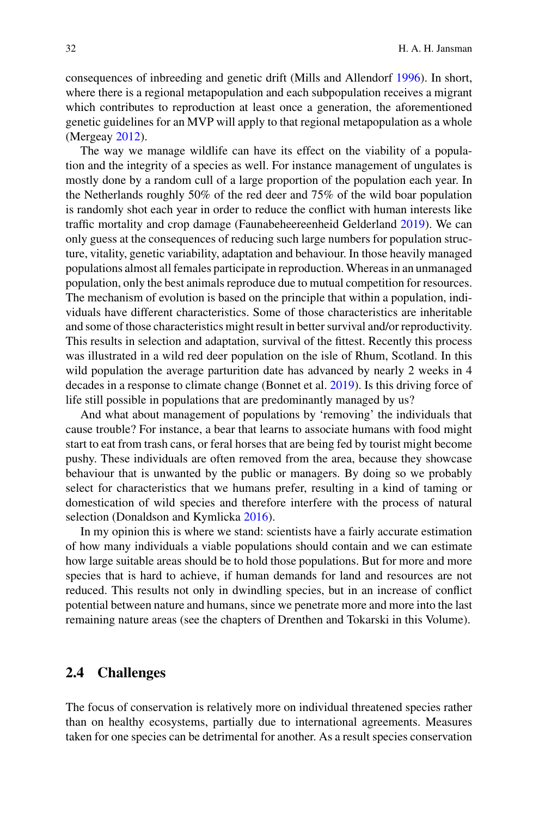consequences of inbreeding and genetic drift (Mills and Allendorf [1996\)](#page-17-8). In short, where there is a regional metapopulation and each subpopulation receives a migrant which contributes to reproduction at least once a generation, the aforementioned genetic guidelines for an MVP will apply to that regional metapopulation as a whole (Mergeay [2012\)](#page-17-9).

The way we manage wildlife can have its effect on the viability of a population and the integrity of a species as well. For instance management of ungulates is mostly done by a random cull of a large proportion of the population each year. In the Netherlands roughly 50% of the red deer and 75% of the wild boar population is randomly shot each year in order to reduce the conflict with human interests like traffic mortality and crop damage (Faunabeheereenheid Gelderland [2019\)](#page-16-5). We can only guess at the consequences of reducing such large numbers for population structure, vitality, genetic variability, adaptation and behaviour. In those heavily managed populations almost all females participate in reproduction. Whereas in an unmanaged population, only the best animals reproduce due to mutual competition for resources. The mechanism of evolution is based on the principle that within a population, individuals have different characteristics. Some of those characteristics are inheritable and some of those characteristics might result in better survival and/or reproductivity. This results in selection and adaptation, survival of the fittest. Recently this process was illustrated in a wild red deer population on the isle of Rhum, Scotland. In this wild population the average parturition date has advanced by nearly 2 weeks in 4 decades in a response to climate change (Bonnet et al. [2019\)](#page-16-6). Is this driving force of life still possible in populations that are predominantly managed by us?

And what about management of populations by 'removing' the individuals that cause trouble? For instance, a bear that learns to associate humans with food might start to eat from trash cans, or feral horses that are being fed by tourist might become pushy. These individuals are often removed from the area, because they showcase behaviour that is unwanted by the public or managers. By doing so we probably select for characteristics that we humans prefer, resulting in a kind of taming or domestication of wild species and therefore interfere with the process of natural selection (Donaldson and Kymlicka [2016\)](#page-16-7).

In my opinion this is where we stand: scientists have a fairly accurate estimation of how many individuals a viable populations should contain and we can estimate how large suitable areas should be to hold those populations. But for more and more species that is hard to achieve, if human demands for land and resources are not reduced. This results not only in dwindling species, but in an increase of conflict potential between nature and humans, since we penetrate more and more into the last remaining nature areas (see the chapters of Drenthen and Tokarski in this Volume).

### **2.4 Challenges**

The focus of conservation is relatively more on individual threatened species rather than on healthy ecosystems, partially due to international agreements. Measures taken for one species can be detrimental for another. As a result species conservation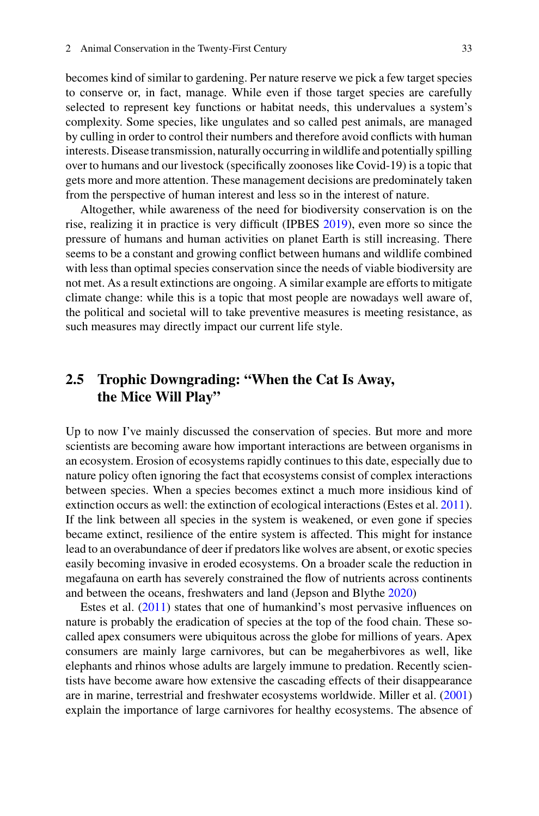becomes kind of similar to gardening. Per nature reserve we pick a few target species to conserve or, in fact, manage. While even if those target species are carefully selected to represent key functions or habitat needs, this undervalues a system's complexity. Some species, like ungulates and so called pest animals, are managed by culling in order to control their numbers and therefore avoid conflicts with human interests. Disease transmission, naturally occurring in wildlife and potentially spilling over to humans and our livestock (specifically zoonoses like Covid-19) is a topic that gets more and more attention. These management decisions are predominately taken from the perspective of human interest and less so in the interest of nature.

Altogether, while awareness of the need for biodiversity conservation is on the rise, realizing it in practice is very difficult (IPBES [2019\)](#page-16-0), even more so since the pressure of humans and human activities on planet Earth is still increasing. There seems to be a constant and growing conflict between humans and wildlife combined with less than optimal species conservation since the needs of viable biodiversity are not met. As a result extinctions are ongoing. A similar example are efforts to mitigate climate change: while this is a topic that most people are nowadays well aware of, the political and societal will to take preventive measures is meeting resistance, as such measures may directly impact our current life style.

# **2.5 Trophic Downgrading: "When the Cat Is Away, the Mice Will Play"**

Up to now I've mainly discussed the conservation of species. But more and more scientists are becoming aware how important interactions are between organisms in an ecosystem. Erosion of ecosystems rapidly continues to this date, especially due to nature policy often ignoring the fact that ecosystems consist of complex interactions between species. When a species becomes extinct a much more insidious kind of extinction occurs as well: the extinction of ecological interactions (Estes et al. [2011\)](#page-16-8). If the link between all species in the system is weakened, or even gone if species became extinct, resilience of the entire system is affected. This might for instance lead to an overabundance of deer if predators like wolves are absent, or exotic species easily becoming invasive in eroded ecosystems. On a broader scale the reduction in megafauna on earth has severely constrained the flow of nutrients across continents and between the oceans, freshwaters and land (Jepson and Blythe [2020\)](#page-16-9)

Estes et al. [\(2011\)](#page-16-8) states that one of humankind's most pervasive influences on nature is probably the eradication of species at the top of the food chain. These socalled apex consumers were ubiquitous across the globe for millions of years. Apex consumers are mainly large carnivores, but can be megaherbivores as well, like elephants and rhinos whose adults are largely immune to predation. Recently scientists have become aware how extensive the cascading effects of their disappearance are in marine, terrestrial and freshwater ecosystems worldwide. Miller et al. [\(2001\)](#page-17-10) explain the importance of large carnivores for healthy ecosystems. The absence of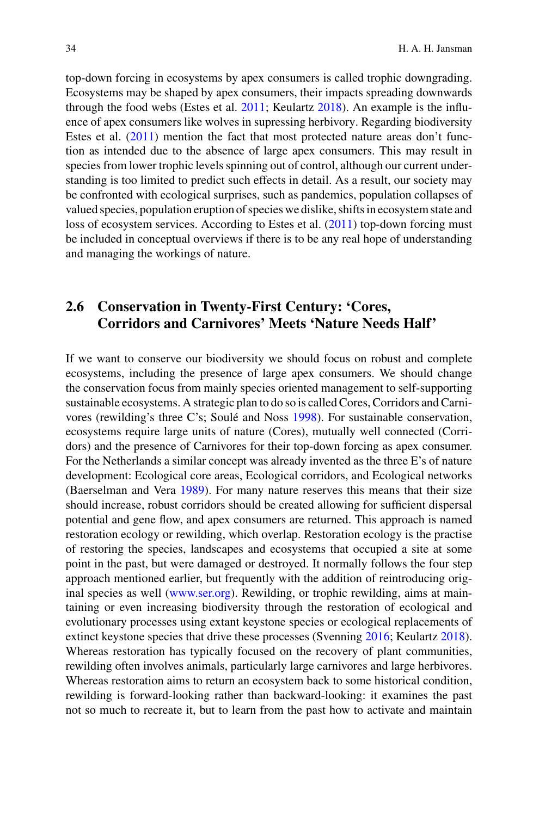top-down forcing in ecosystems by apex consumers is called trophic downgrading. Ecosystems may be shaped by apex consumers, their impacts spreading downwards through the food webs (Estes et al.  $2011$ ; Keulartz  $2018$ ). An example is the influence of apex consumers like wolves in supressing herbivory. Regarding biodiversity Estes et al. [\(2011\)](#page-16-8) mention the fact that most protected nature areas don't function as intended due to the absence of large apex consumers. This may result in species from lower trophic levels spinning out of control, although our current understanding is too limited to predict such effects in detail. As a result, our society may be confronted with ecological surprises, such as pandemics, population collapses of valued species, population eruption of species we dislike, shifts in ecosystem state and loss of ecosystem services. According to Estes et al. [\(2011\)](#page-16-8) top-down forcing must be included in conceptual overviews if there is to be any real hope of understanding and managing the workings of nature.

# **2.6 Conservation in Twenty-First Century: 'Cores, Corridors and Carnivores' Meets 'Nature Needs Half'**

If we want to conserve our biodiversity we should focus on robust and complete ecosystems, including the presence of large apex consumers. We should change the conservation focus from mainly species oriented management to self-supporting sustainable ecosystems. A strategic plan to do so is called Cores, Corridors and Carnivores (rewilding's three C's; Soulé and Noss [1998\)](#page-17-11). For sustainable conservation, ecosystems require large units of nature (Cores), mutually well connected (Corridors) and the presence of Carnivores for their top-down forcing as apex consumer. For the Netherlands a similar concept was already invented as the three E's of nature development: Ecological core areas, Ecological corridors, and Ecological networks (Baerselman and Vera [1989\)](#page-15-0). For many nature reserves this means that their size should increase, robust corridors should be created allowing for sufficient dispersal potential and gene flow, and apex consumers are returned. This approach is named restoration ecology or rewilding, which overlap. Restoration ecology is the practise of restoring the species, landscapes and ecosystems that occupied a site at some point in the past, but were damaged or destroyed. It normally follows the four step approach mentioned earlier, but frequently with the addition of reintroducing original species as well [\(www.ser.org\)](http://www.ser.org). Rewilding, or trophic rewilding, aims at maintaining or even increasing biodiversity through the restoration of ecological and evolutionary processes using extant keystone species or ecological replacements of extinct keystone species that drive these processes (Svenning [2016;](#page-17-12) Keulartz [2018\)](#page-16-10). Whereas restoration has typically focused on the recovery of plant communities, rewilding often involves animals, particularly large carnivores and large herbivores. Whereas restoration aims to return an ecosystem back to some historical condition, rewilding is forward-looking rather than backward-looking: it examines the past not so much to recreate it, but to learn from the past how to activate and maintain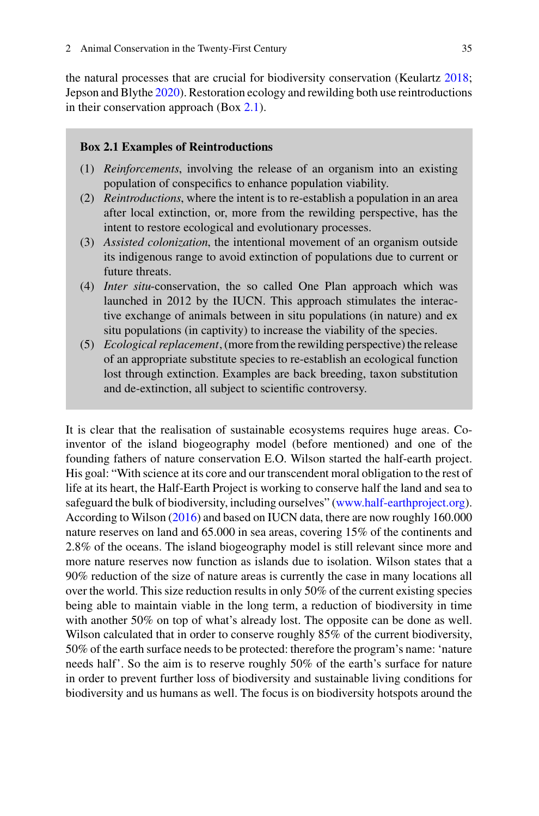the natural processes that are crucial for biodiversity conservation (Keulartz [2018;](#page-16-10) Jepson and Blythe [2020\)](#page-16-9). Restoration ecology and rewilding both use reintroductions in their conservation approach (Box [2.1\)](#page-8-0).

#### <span id="page-8-0"></span>**Box 2.1 Examples of Reintroductions**

- (1) *Reinforcements*, involving the release of an organism into an existing population of conspecifics to enhance population viability.
- (2) *Reintroductions*, where the intent is to re-establish a population in an area after local extinction, or, more from the rewilding perspective, has the intent to restore ecological and evolutionary processes.
- (3) *Assisted colonization*, the intentional movement of an organism outside its indigenous range to avoid extinction of populations due to current or future threats.
- (4) *Inter situ*-conservation, the so called One Plan approach which was launched in 2012 by the IUCN. This approach stimulates the interactive exchange of animals between in situ populations (in nature) and ex situ populations (in captivity) to increase the viability of the species.
- (5) *Ecological replacement*, (more from the rewilding perspective) the release of an appropriate substitute species to re-establish an ecological function lost through extinction. Examples are back breeding, taxon substitution and de-extinction, all subject to scientific controversy.

It is clear that the realisation of sustainable ecosystems requires huge areas. Coinventor of the island biogeography model (before mentioned) and one of the founding fathers of nature conservation E.O. Wilson started the half-earth project. His goal: "With science at its core and our transcendent moral obligation to the rest of life at its heart, the Half-Earth Project is working to conserve half the land and sea to safeguard the bulk of biodiversity, including ourselves" [\(www.half-earthproject.org\)](http://www.half-earthproject.org). According to Wilson [\(2016\)](#page-17-13) and based on IUCN data, there are now roughly 160.000 nature reserves on land and 65.000 in sea areas, covering 15% of the continents and 2.8% of the oceans. The island biogeography model is still relevant since more and more nature reserves now function as islands due to isolation. Wilson states that a 90% reduction of the size of nature areas is currently the case in many locations all over the world. This size reduction results in only 50% of the current existing species being able to maintain viable in the long term, a reduction of biodiversity in time with another 50% on top of what's already lost. The opposite can be done as well. Wilson calculated that in order to conserve roughly 85% of the current biodiversity, 50% of the earth surface needs to be protected: therefore the program's name: 'nature needs half'. So the aim is to reserve roughly 50% of the earth's surface for nature in order to prevent further loss of biodiversity and sustainable living conditions for biodiversity and us humans as well. The focus is on biodiversity hotspots around the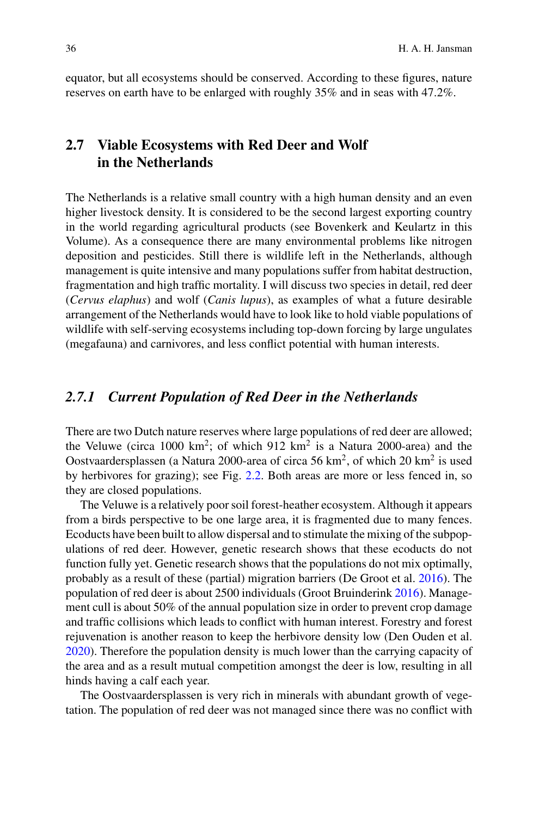equator, but all ecosystems should be conserved. According to these figures, nature reserves on earth have to be enlarged with roughly 35% and in seas with 47.2%.

# **2.7 Viable Ecosystems with Red Deer and Wolf in the Netherlands**

The Netherlands is a relative small country with a high human density and an even higher livestock density. It is considered to be the second largest exporting country in the world regarding agricultural products (see Bovenkerk and Keulartz in this Volume). As a consequence there are many environmental problems like nitrogen deposition and pesticides. Still there is wildlife left in the Netherlands, although management is quite intensive and many populations suffer from habitat destruction, fragmentation and high traffic mortality. I will discuss two species in detail, red deer (*Cervus elaphus*) and wolf (*Canis lupus*), as examples of what a future desirable arrangement of the Netherlands would have to look like to hold viable populations of wildlife with self-serving ecosystems including top-down forcing by large ungulates (megafauna) and carnivores, and less conflict potential with human interests.

## *2.7.1 Current Population of Red Deer in the Netherlands*

There are two Dutch nature reserves where large populations of red deer are allowed; the Veluwe (circa 1000 km<sup>2</sup>; of which 912 km<sup>2</sup> is a Natura 2000-area) and the Oostvaardersplassen (a Natura 2000-area of circa 56 km<sup>2</sup>, of which 20 km<sup>2</sup> is used by herbivores for grazing); see Fig. [2.2.](#page-10-0) Both areas are more or less fenced in, so they are closed populations.

The Veluwe is a relatively poor soil forest-heather ecosystem. Although it appears from a birds perspective to be one large area, it is fragmented due to many fences. Ecoducts have been built to allow dispersal and to stimulate the mixing of the subpopulations of red deer. However, genetic research shows that these ecoducts do not function fully yet. Genetic research shows that the populations do not mix optimally, probably as a result of these (partial) migration barriers (De Groot et al. [2016\)](#page-16-11). The population of red deer is about 2500 individuals (Groot Bruinderink [2016\)](#page-16-12). Management cull is about 50% of the annual population size in order to prevent crop damage and traffic collisions which leads to conflict with human interest. Forestry and forest rejuvenation is another reason to keep the herbivore density low (Den Ouden et al. [2020\)](#page-16-13). Therefore the population density is much lower than the carrying capacity of the area and as a result mutual competition amongst the deer is low, resulting in all hinds having a calf each year.

The Oostvaardersplassen is very rich in minerals with abundant growth of vegetation. The population of red deer was not managed since there was no conflict with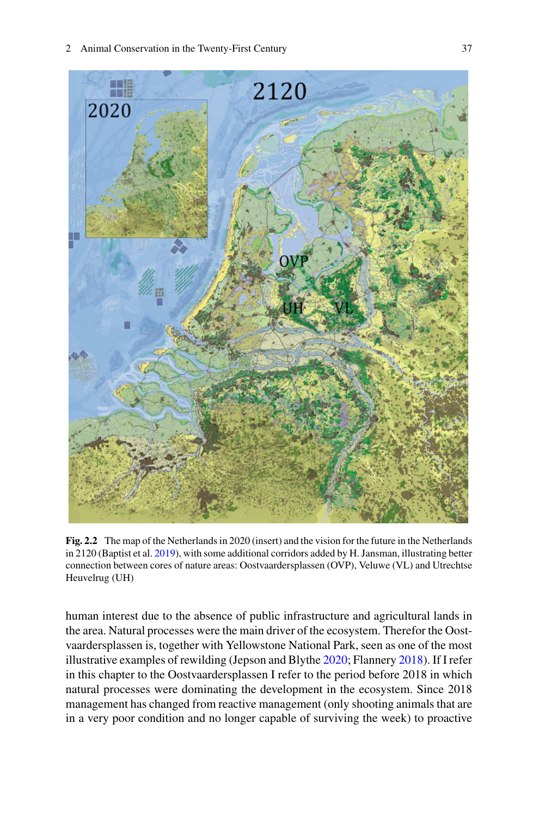

<span id="page-10-0"></span>**Fig. 2.2** The map of the Netherlands in 2020 (insert) and the vision for the future in the Netherlands in 2120 (Baptist et al. [2019\)](#page-16-14), with some additional corridors added by H. Jansman, illustrating better connection between cores of nature areas: Oostvaardersplassen (OVP), Veluwe (VL) and Utrechtse Heuvelrug (UH)

human interest due to the absence of public infrastructure and agricultural lands in the area. Natural processes were the main driver of the ecosystem. Therefor the Oostvaardersplassen is, together with Yellowstone National Park, seen as one of the most illustrative examples of rewilding (Jepson and Blythe [2020;](#page-16-9) Flannery [2018\)](#page-16-15). If I refer in this chapter to the Oostvaardersplassen I refer to the period before 2018 in which natural processes were dominating the development in the ecosystem. Since 2018 management has changed from reactive management (only shooting animals that are in a very poor condition and no longer capable of surviving the week) to proactive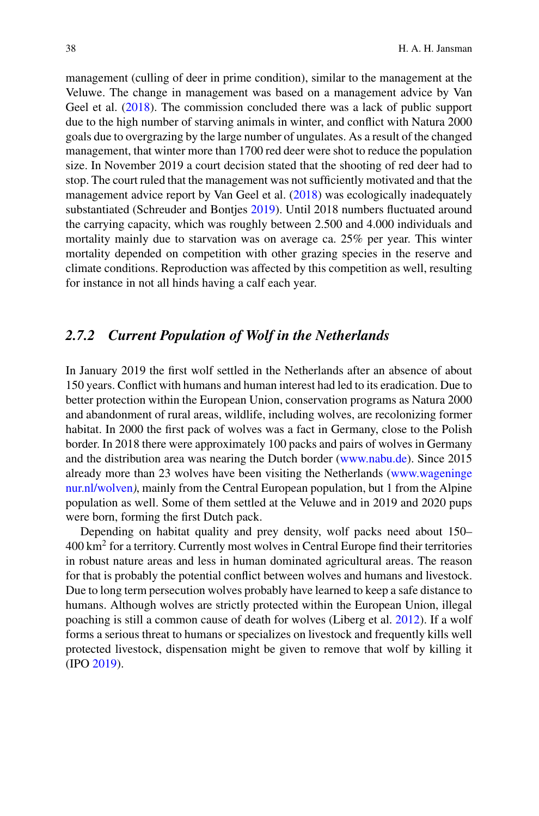management (culling of deer in prime condition), similar to the management at the Veluwe. The change in management was based on a management advice by Van Geel et al. [\(2018\)](#page-17-14). The commission concluded there was a lack of public support due to the high number of starving animals in winter, and conflict with Natura 2000 goals due to overgrazing by the large number of ungulates. As a result of the changed management, that winter more than 1700 red deer were shot to reduce the population size. In November 2019 a court decision stated that the shooting of red deer had to stop. The court ruled that the management was not sufficiently motivated and that the management advice report by Van Geel et al. [\(2018\)](#page-17-14) was ecologically inadequately substantiated (Schreuder and Bontjes [2019\)](#page-17-15). Until 2018 numbers fluctuated around the carrying capacity, which was roughly between 2.500 and 4.000 individuals and mortality mainly due to starvation was on average ca. 25% per year. This winter mortality depended on competition with other grazing species in the reserve and climate conditions. Reproduction was affected by this competition as well, resulting for instance in not all hinds having a calf each year.

# *2.7.2 Current Population of Wolf in the Netherlands*

In January 2019 the first wolf settled in the Netherlands after an absence of about 150 years. Conflict with humans and human interest had led to its eradication. Due to better protection within the European Union, conservation programs as Natura 2000 and abandonment of rural areas, wildlife, including wolves, are recolonizing former habitat. In 2000 the first pack of wolves was a fact in Germany, close to the Polish border. In 2018 there were approximately 100 packs and pairs of wolves in Germany and the distribution area was nearing the Dutch border [\(www.nabu.de\)](http://www.nabu.de). Since 2015 [already more than 23 wolves have been visiting the Netherlands \(www.wageninge](http://www.wageningenur.nl/wolven) nur.nl/wolven*)*, mainly from the Central European population, but 1 from the Alpine population as well. Some of them settled at the Veluwe and in 2019 and 2020 pups were born, forming the first Dutch pack.

Depending on habitat quality and prey density, wolf packs need about 150–  $400 \text{ km}^2$  for a territory. Currently most wolves in Central Europe find their territories in robust nature areas and less in human dominated agricultural areas. The reason for that is probably the potential conflict between wolves and humans and livestock. Due to long term persecution wolves probably have learned to keep a safe distance to humans. Although wolves are strictly protected within the European Union, illegal poaching is still a common cause of death for wolves (Liberg et al. [2012\)](#page-16-16). If a wolf forms a serious threat to humans or specializes on livestock and frequently kills well protected livestock, dispensation might be given to remove that wolf by killing it (IPO [2019\)](#page-16-17).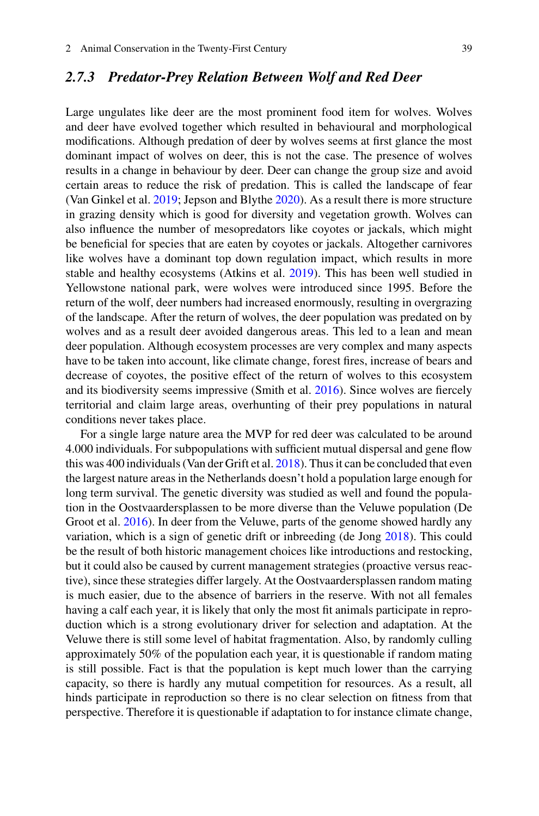### *2.7.3 Predator-Prey Relation Between Wolf and Red Deer*

Large ungulates like deer are the most prominent food item for wolves. Wolves and deer have evolved together which resulted in behavioural and morphological modifications. Although predation of deer by wolves seems at first glance the most dominant impact of wolves on deer, this is not the case. The presence of wolves results in a change in behaviour by deer. Deer can change the group size and avoid certain areas to reduce the risk of predation. This is called the landscape of fear (Van Ginkel et al. [2019;](#page-17-16) Jepson and Blythe [2020\)](#page-16-9). As a result there is more structure in grazing density which is good for diversity and vegetation growth. Wolves can also influence the number of mesopredators like coyotes or jackals, which might be beneficial for species that are eaten by coyotes or jackals. Altogether carnivores like wolves have a dominant top down regulation impact, which results in more stable and healthy ecosystems (Atkins et al. [2019\)](#page-15-1). This has been well studied in Yellowstone national park, were wolves were introduced since 1995. Before the return of the wolf, deer numbers had increased enormously, resulting in overgrazing of the landscape. After the return of wolves, the deer population was predated on by wolves and as a result deer avoided dangerous areas. This led to a lean and mean deer population. Although ecosystem processes are very complex and many aspects have to be taken into account, like climate change, forest fires, increase of bears and decrease of coyotes, the positive effect of the return of wolves to this ecosystem and its biodiversity seems impressive (Smith et al. [2016\)](#page-17-17). Since wolves are fiercely territorial and claim large areas, overhunting of their prey populations in natural conditions never takes place.

For a single large nature area the MVP for red deer was calculated to be around 4.000 individuals. For subpopulations with sufficient mutual dispersal and gene flow this was 400 individuals (Van der Grift et al. [2018\)](#page-17-18). Thus it can be concluded that even the largest nature areas in the Netherlands doesn't hold a population large enough for long term survival. The genetic diversity was studied as well and found the population in the Oostvaardersplassen to be more diverse than the Veluwe population (De Groot et al. [2016\)](#page-16-11). In deer from the Veluwe, parts of the genome showed hardly any variation, which is a sign of genetic drift or inbreeding (de Jong [2018\)](#page-16-18). This could be the result of both historic management choices like introductions and restocking, but it could also be caused by current management strategies (proactive versus reactive), since these strategies differ largely. At the Oostvaardersplassen random mating is much easier, due to the absence of barriers in the reserve. With not all females having a calf each year, it is likely that only the most fit animals participate in reproduction which is a strong evolutionary driver for selection and adaptation. At the Veluwe there is still some level of habitat fragmentation. Also, by randomly culling approximately 50% of the population each year, it is questionable if random mating is still possible. Fact is that the population is kept much lower than the carrying capacity, so there is hardly any mutual competition for resources. As a result, all hinds participate in reproduction so there is no clear selection on fitness from that perspective. Therefore it is questionable if adaptation to for instance climate change,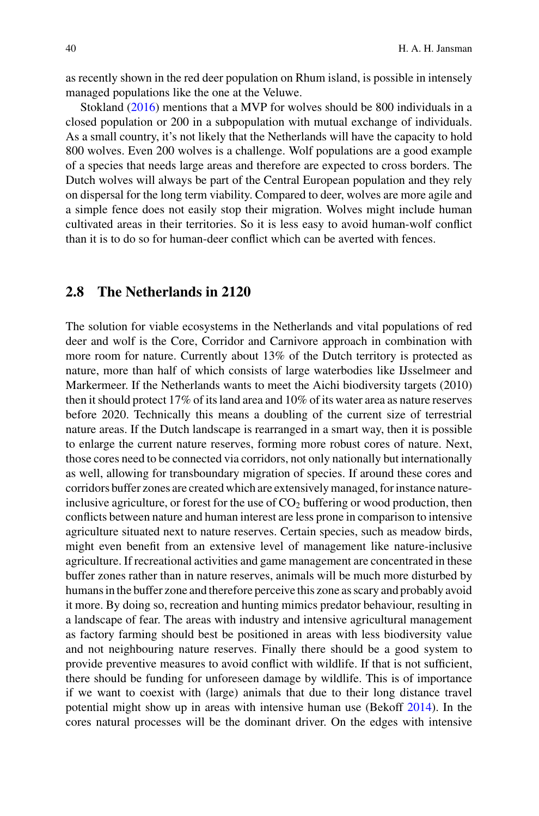as recently shown in the red deer population on Rhum island, is possible in intensely managed populations like the one at the Veluwe.

Stokland [\(2016\)](#page-17-19) mentions that a MVP for wolves should be 800 individuals in a closed population or 200 in a subpopulation with mutual exchange of individuals. As a small country, it's not likely that the Netherlands will have the capacity to hold 800 wolves. Even 200 wolves is a challenge. Wolf populations are a good example of a species that needs large areas and therefore are expected to cross borders. The Dutch wolves will always be part of the Central European population and they rely on dispersal for the long term viability. Compared to deer, wolves are more agile and a simple fence does not easily stop their migration. Wolves might include human cultivated areas in their territories. So it is less easy to avoid human-wolf conflict than it is to do so for human-deer conflict which can be averted with fences.

#### **2.8 The Netherlands in 2120**

The solution for viable ecosystems in the Netherlands and vital populations of red deer and wolf is the Core, Corridor and Carnivore approach in combination with more room for nature. Currently about 13% of the Dutch territory is protected as nature, more than half of which consists of large waterbodies like IJsselmeer and Markermeer. If the Netherlands wants to meet the Aichi biodiversity targets (2010) then it should protect 17% of its land area and 10% of its water area as nature reserves before 2020. Technically this means a doubling of the current size of terrestrial nature areas. If the Dutch landscape is rearranged in a smart way, then it is possible to enlarge the current nature reserves, forming more robust cores of nature. Next, those cores need to be connected via corridors, not only nationally but internationally as well, allowing for transboundary migration of species. If around these cores and corridors buffer zones are created which are extensively managed, for instance natureinclusive agriculture, or forest for the use of  $CO<sub>2</sub>$  buffering or wood production, then conflicts between nature and human interest are less prone in comparison to intensive agriculture situated next to nature reserves. Certain species, such as meadow birds, might even benefit from an extensive level of management like nature-inclusive agriculture. If recreational activities and game management are concentrated in these buffer zones rather than in nature reserves, animals will be much more disturbed by humans in the buffer zone and therefore perceive this zone as scary and probably avoid it more. By doing so, recreation and hunting mimics predator behaviour, resulting in a landscape of fear. The areas with industry and intensive agricultural management as factory farming should best be positioned in areas with less biodiversity value and not neighbouring nature reserves. Finally there should be a good system to provide preventive measures to avoid conflict with wildlife. If that is not sufficient, there should be funding for unforeseen damage by wildlife. This is of importance if we want to coexist with (large) animals that due to their long distance travel potential might show up in areas with intensive human use (Bekoff [2014\)](#page-16-19). In the cores natural processes will be the dominant driver. On the edges with intensive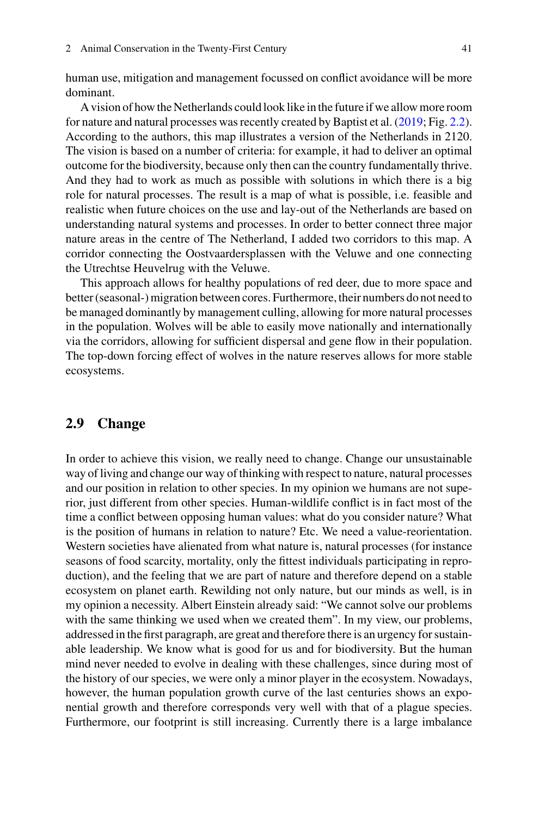human use, mitigation and management focussed on conflict avoidance will be more dominant.

A vision of how the Netherlands could look like in the future if we allow more room for nature and natural processes was recently created by Baptist et al. [\(2019;](#page-16-14) Fig. [2.2\)](#page-10-0). According to the authors, this map illustrates a version of the Netherlands in 2120. The vision is based on a number of criteria: for example, it had to deliver an optimal outcome for the biodiversity, because only then can the country fundamentally thrive. And they had to work as much as possible with solutions in which there is a big role for natural processes. The result is a map of what is possible, i.e. feasible and realistic when future choices on the use and lay-out of the Netherlands are based on understanding natural systems and processes. In order to better connect three major nature areas in the centre of The Netherland, I added two corridors to this map. A corridor connecting the Oostvaardersplassen with the Veluwe and one connecting the Utrechtse Heuvelrug with the Veluwe.

This approach allows for healthy populations of red deer, due to more space and better (seasonal-) migration between cores. Furthermore, their numbers do not need to be managed dominantly by management culling, allowing for more natural processes in the population. Wolves will be able to easily move nationally and internationally via the corridors, allowing for sufficient dispersal and gene flow in their population. The top-down forcing effect of wolves in the nature reserves allows for more stable ecosystems.

# **2.9 Change**

In order to achieve this vision, we really need to change. Change our unsustainable way of living and change our way of thinking with respect to nature, natural processes and our position in relation to other species. In my opinion we humans are not superior, just different from other species. Human-wildlife conflict is in fact most of the time a conflict between opposing human values: what do you consider nature? What is the position of humans in relation to nature? Etc. We need a value-reorientation. Western societies have alienated from what nature is, natural processes (for instance seasons of food scarcity, mortality, only the fittest individuals participating in reproduction), and the feeling that we are part of nature and therefore depend on a stable ecosystem on planet earth. Rewilding not only nature, but our minds as well, is in my opinion a necessity. Albert Einstein already said: "We cannot solve our problems with the same thinking we used when we created them". In my view, our problems, addressed in the first paragraph, are great and therefore there is an urgency for sustainable leadership. We know what is good for us and for biodiversity. But the human mind never needed to evolve in dealing with these challenges, since during most of the history of our species, we were only a minor player in the ecosystem. Nowadays, however, the human population growth curve of the last centuries shows an exponential growth and therefore corresponds very well with that of a plague species. Furthermore, our footprint is still increasing. Currently there is a large imbalance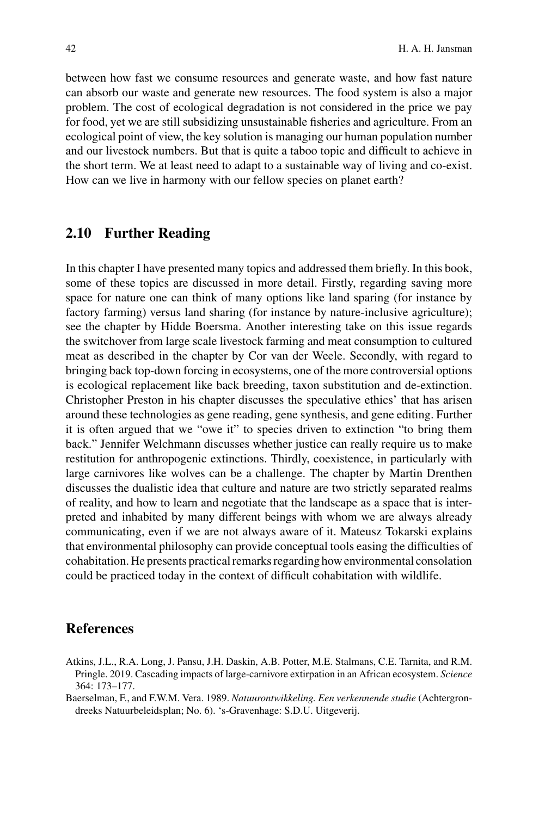between how fast we consume resources and generate waste, and how fast nature can absorb our waste and generate new resources. The food system is also a major problem. The cost of ecological degradation is not considered in the price we pay for food, yet we are still subsidizing unsustainable fisheries and agriculture. From an ecological point of view, the key solution is managing our human population number and our livestock numbers. But that is quite a taboo topic and difficult to achieve in the short term. We at least need to adapt to a sustainable way of living and co-exist. How can we live in harmony with our fellow species on planet earth?

# **2.10 Further Reading**

In this chapter I have presented many topics and addressed them briefly. In this book, some of these topics are discussed in more detail. Firstly, regarding saving more space for nature one can think of many options like land sparing (for instance by factory farming) versus land sharing (for instance by nature-inclusive agriculture); see the chapter by Hidde Boersma. Another interesting take on this issue regards the switchover from large scale livestock farming and meat consumption to cultured meat as described in the chapter by Cor van der Weele. Secondly, with regard to bringing back top-down forcing in ecosystems, one of the more controversial options is ecological replacement like back breeding, taxon substitution and de-extinction. Christopher Preston in his chapter discusses the speculative ethics' that has arisen around these technologies as gene reading, gene synthesis, and gene editing. Further it is often argued that we "owe it" to species driven to extinction "to bring them back." Jennifer Welchmann discusses whether justice can really require us to make restitution for anthropogenic extinctions. Thirdly, coexistence, in particularly with large carnivores like wolves can be a challenge. The chapter by Martin Drenthen discusses the dualistic idea that culture and nature are two strictly separated realms of reality, and how to learn and negotiate that the landscape as a space that is interpreted and inhabited by many different beings with whom we are always already communicating, even if we are not always aware of it. Mateusz Tokarski explains that environmental philosophy can provide conceptual tools easing the difficulties of cohabitation. He presents practical remarks regarding how environmental consolation could be practiced today in the context of difficult cohabitation with wildlife.

#### **References**

<span id="page-15-1"></span>Atkins, J.L., R.A. Long, J. Pansu, J.H. Daskin, A.B. Potter, M.E. Stalmans, C.E. Tarnita, and R.M. Pringle. 2019. Cascading impacts of large-carnivore extirpation in an African ecosystem. *Science* 364: 173–177.

<span id="page-15-0"></span>Baerselman, F., and F.W.M. Vera. 1989. *Natuurontwikkeling. Een verkennende studie* (Achtergrondreeks Natuurbeleidsplan; No. 6). 's-Gravenhage: S.D.U. Uitgeverij.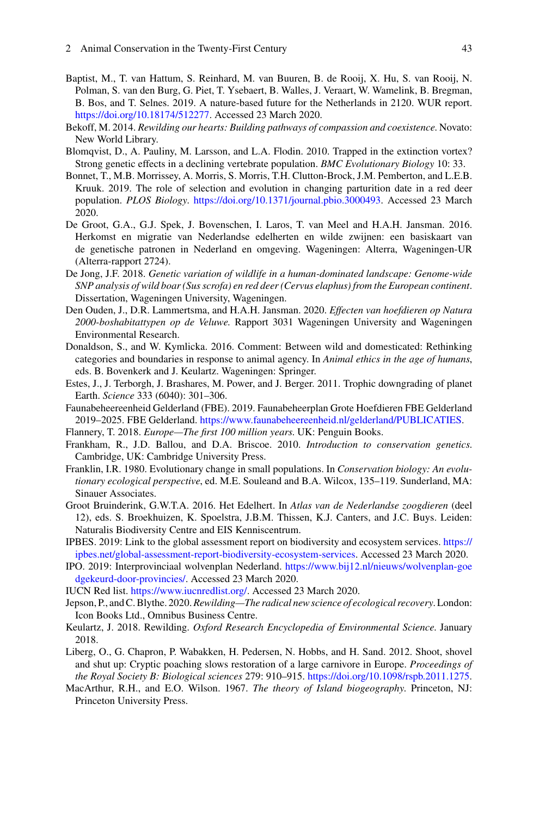- <span id="page-16-14"></span>Baptist, M., T. van Hattum, S. Reinhard, M. van Buuren, B. de Rooij, X. Hu, S. van Rooij, N. Polman, S. van den Burg, G. Piet, T. Ysebaert, B. Walles, J. Veraart, W. Wamelink, B. Bregman, B. Bos, and T. Selnes. 2019. A nature-based future for the Netherlands in 2120. WUR report. [https://doi.org/10.18174/512277.](https://doi.org/10.18174/512277) Accessed 23 March 2020.
- <span id="page-16-19"></span>Bekoff, M. 2014. *Rewilding our hearts: Building pathways of compassion and coexistence*. Novato: New World Library.
- <span id="page-16-2"></span>Blomqvist, D., A. Pauliny, M. Larsson, and L.A. Flodin. 2010. Trapped in the extinction vortex? Strong genetic effects in a declining vertebrate population. *BMC Evolutionary Biology* 10: 33.
- <span id="page-16-6"></span>Bonnet, T., M.B. Morrissey, A. Morris, S. Morris, T.H. Clutton-Brock, J.M. Pemberton, and L.E.B. Kruuk. 2019. The role of selection and evolution in changing parturition date in a red deer population. *PLOS Biology*. [https://doi.org/10.1371/journal.pbio.3000493.](https://doi.org/10.1371/journal.pbio.3000493) Accessed 23 March 2020.
- <span id="page-16-11"></span>De Groot, G.A., G.J. Spek, J. Bovenschen, I. Laros, T. van Meel and H.A.H. Jansman. 2016. Herkomst en migratie van Nederlandse edelherten en wilde zwijnen: een basiskaart van de genetische patronen in Nederland en omgeving. Wageningen: Alterra, Wageningen-UR (Alterra-rapport 2724).
- <span id="page-16-18"></span>De Jong, J.F. 2018. *Genetic variation of wildlife in a human-dominated landscape: Genome-wide SNP analysis of wild boar (Sus scrofa) en red deer (Cervus elaphus) from the European continent*. Dissertation, Wageningen University, Wageningen.
- <span id="page-16-13"></span>Den Ouden, J., D.R. Lammertsma, and H.A.H. Jansman. 2020. *Effecten van hoefdieren op Natura 2000-boshabitattypen op de Veluwe.* Rapport 3031 Wageningen University and Wageningen Environmental Research.
- <span id="page-16-7"></span>Donaldson, S., and W. Kymlicka. 2016. Comment: Between wild and domesticated: Rethinking categories and boundaries in response to animal agency. In *Animal ethics in the age of humans*, eds. B. Bovenkerk and J. Keulartz. Wageningen: Springer.
- <span id="page-16-8"></span>Estes, J., J. Terborgh, J. Brashares, M. Power, and J. Berger. 2011. Trophic downgrading of planet Earth. *Science* 333 (6040): 301–306.
- <span id="page-16-5"></span>Faunabeheereenheid Gelderland (FBE). 2019. Faunabeheerplan Grote Hoefdieren FBE Gelderland 2019–2025. FBE Gelderland. [https://www.faunabeheereenheid.nl/gelderland/PUBLICATIES.](https://www.faunabeheereenheid.nl/gelderland/PUBLICATIES)
- <span id="page-16-15"></span>Flannery, T. 2018. *Europe—The first 100 million years*. UK: Penguin Books.
- <span id="page-16-1"></span>Frankham, R., J.D. Ballou, and D.A. Briscoe. 2010. *Introduction to conservation genetics*. Cambridge, UK: Cambridge University Press.
- <span id="page-16-4"></span>Franklin, I.R. 1980. Evolutionary change in small populations. In *Conservation biology: An evolutionary ecological perspective*, ed. M.E. Souleand and B.A. Wilcox, 135–119. Sunderland, MA: Sinauer Associates.
- <span id="page-16-12"></span>Groot Bruinderink, G.W.T.A. 2016. Het Edelhert. In *Atlas van de Nederlandse zoogdieren* (deel 12), eds. S. Broekhuizen, K. Spoelstra, J.B.M. Thissen, K.J. Canters, and J.C. Buys. Leiden: Naturalis Biodiversity Centre and EIS Kenniscentrum.
- <span id="page-16-0"></span>IPBES. 2019: Link to the global assessment report on biodiversity and ecosystem services. https:// [ipbes.net/global-assessment-report-biodiversity-ecosystem-services. Accessed 23 March 2020.](https://ipbes.net/global-assessment-report-biodiversity-ecosystem-services)
- <span id="page-16-17"></span>IPO. 2019: Interprovinciaal wolvenplan Nederland. https://www.bij12.nl/nieuws/wolvenplan-goe [dgekeurd-door-provincies/. Accessed 23 March 2020.](https://www.bij12.nl/nieuws/wolvenplan-goedgekeurd-door-provincies/)
- IUCN Red list. [https://www.iucnredlist.org/.](https://www.iucnredlist.org/) Accessed 23 March 2020.
- <span id="page-16-9"></span>Jepson, P., and C. Blythe. 2020.*Rewilding—The radical new science of ecological recovery*. London: Icon Books Ltd., Omnibus Business Centre.
- <span id="page-16-10"></span>Keulartz, J. 2018. Rewilding. *Oxford Research Encyclopedia of Environmental Science*. January 2018.
- <span id="page-16-16"></span>Liberg, O., G. Chapron, P. Wabakken, H. Pedersen, N. Hobbs, and H. Sand. 2012. Shoot, shovel and shut up: Cryptic poaching slows restoration of a large carnivore in Europe. *Proceedings of the Royal Society B: Biological sciences* 279: 910–915. [https://doi.org/10.1098/rspb.2011.1275.](https://doi.org/10.1098/rspb.2011.1275)
- <span id="page-16-3"></span>MacArthur, R.H., and E.O. Wilson. 1967. *The theory of Island biogeography*. Princeton, NJ: Princeton University Press.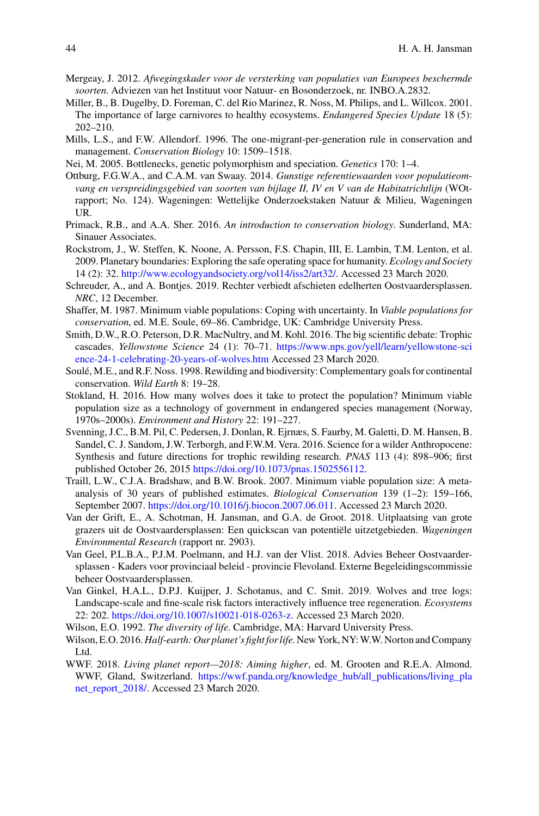- <span id="page-17-9"></span>Mergeay, J. 2012. *Afwegingskader voor de versterking van populaties van Europees beschermde soorten*. Adviezen van het Instituut voor Natuur- en Bosonderzoek, nr. INBO.A.2832.
- <span id="page-17-10"></span>Miller, B., B. Dugelby, D. Foreman, C. del Rio Marinez, R. Noss, M. Philips, and L. Willcox. 2001. The importance of large carnivores to healthy ecosystems. *Endangered Species Update* 18 (5): 202–210.
- <span id="page-17-8"></span>Mills, L.S., and F.W. Allendorf. 1996. The one-migrant-per-generation rule in conservation and management. *Conservation Biology* 10: 1509–1518.
- <span id="page-17-5"></span>Nei, M. 2005. Bottlenecks, genetic polymorphism and speciation. *Genetics* 170: 1–4.
- <span id="page-17-6"></span>Ottburg, F.G.W.A., and C.A.M. van Swaay. 2014. *Gunstige referentiewaarden voor populatieomvang en verspreidingsgebied van soorten van bijlage II, IV en V van de Habitatrichtlijn* (WOtrapport; No. 124). Wageningen: Wettelijke Onderzoekstaken Natuur & Milieu, Wageningen UR.
- <span id="page-17-2"></span>Primack, R.B., and A.A. Sher. 2016. *An introduction to conservation biology*. Sunderland, MA: Sinauer Associates.
- <span id="page-17-3"></span>Rockstrom, J., W. Steffen, K. Noone, A. Persson, F.S. Chapin, III, E. Lambin, T.M. Lenton, et al. 2009. Planetary boundaries: Exploring the safe operating space for humanity. *Ecology and Society* 14 (2): 32. [http://www.ecologyandsociety.org/vol14/iss2/art32/.](http://www.ecologyandsociety.org/vol14/iss2/art32/) Accessed 23 March 2020.
- <span id="page-17-15"></span>Schreuder, A., and A. Bontjes. 2019. Rechter verbiedt afschieten edelherten Oostvaardersplassen. *NRC*, 12 December.
- <span id="page-17-4"></span>Shaffer, M. 1987. Minimum viable populations: Coping with uncertainty. In *Viable populations for conservation*, ed. M.E. Soule, 69–86. Cambridge, UK: Cambridge University Press.
- <span id="page-17-17"></span>Smith, D.W., R.O. Peterson, D.R. MacNultry, and M. Kohl. 2016. The big scientific debate: Trophic cascades. *Yellowstone Science* 24 (1): 70–71. [https://www.nps.gov/yell/learn/yellowstone-sci](https://www.nps.gov/yell/learn/yellowstone-science-24-1-celebrating-20-years-of-wolves.htm) ence-24-1-celebrating-20-years-of-wolves.htm Accessed 23 March 2020.
- <span id="page-17-11"></span>Soulé, M.E., and R.F. Noss. 1998. Rewilding and biodiversity: Complementary goals for continental conservation. *Wild Earth* 8: 19–28.
- <span id="page-17-19"></span>Stokland, H. 2016. How many wolves does it take to protect the population? Minimum viable population size as a technology of government in endangered species management (Norway, 1970s–2000s). *Environment and History* 22: 191–227.
- <span id="page-17-12"></span>Svenning, J.C., B.M. Pil, C. Pedersen, J. Donlan, R. Ejrnæs, S. Faurby, M. Galetti, D. M. Hansen, B. Sandel, C. J. Sandom, J.W. Terborgh, and F.W.M. Vera. 2016. Science for a wilder Anthropocene: Synthesis and future directions for trophic rewilding research. *PNAS* 113 (4): 898–906; first published October 26, 2015 [https://doi.org/10.1073/pnas.1502556112.](https://doi.org/10.1073/pnas.1502556112)
- <span id="page-17-7"></span>Traill, L.W., C.J.A. Bradshaw, and B.W. Brook. 2007. Minimum viable population size: A metaanalysis of 30 years of published estimates. *Biological Conservation* 139 (1–2): 159–166, September 2007. [https://doi.org/10.1016/j.biocon.2007.06.011.](https://doi.org/10.1016/j.biocon.2007.06.011) Accessed 23 March 2020.
- <span id="page-17-18"></span>Van der Grift, E., A. Schotman, H. Jansman, and G.A. de Groot. 2018. Uitplaatsing van grote grazers uit de Oostvaardersplassen: Een quickscan van potentiële uitzetgebieden. *Wageningen Environmental Research* (rapport nr. 2903).
- <span id="page-17-14"></span>Van Geel, P.L.B.A., P.J.M. Poelmann, and H.J. van der Vlist. 2018. Advies Beheer Oostvaardersplassen - Kaders voor provinciaal beleid - provincie Flevoland. Externe Begeleidingscommissie beheer Oostvaardersplassen.
- <span id="page-17-16"></span>Van Ginkel, H.A.L., D.P.J. Kuijper, J. Schotanus, and C. Smit. 2019. Wolves and tree logs: Landscape-scale and fine-scale risk factors interactively influence tree regeneration. *Ecosystems* 22: 202. [https://doi.org/10.1007/s10021-018-0263-z.](https://doi.org/10.1007/s10021-018-0263-z) Accessed 23 March 2020.
- <span id="page-17-0"></span>Wilson, E.O. 1992. *The diversity of life*. Cambridge, MA: Harvard University Press.
- <span id="page-17-13"></span>Wilson, E.O. 2016.*Half-earth: Our planet's fight for life*. New York, NY:W.W. Norton and Company Ltd.
- <span id="page-17-1"></span>WWF. 2018. *Living planet report—2018: Aiming higher*, ed. M. Grooten and R.E.A. Almond. WWF, Gland, Switzerland. [https://wwf.panda.org/knowledge\\_hub/all\\_publications/living\\_pla](https://wwf.panda.org/knowledge_hub/all_publications/living_planet_report_2018/) net\_report\_2018/. Accessed 23 March 2020.